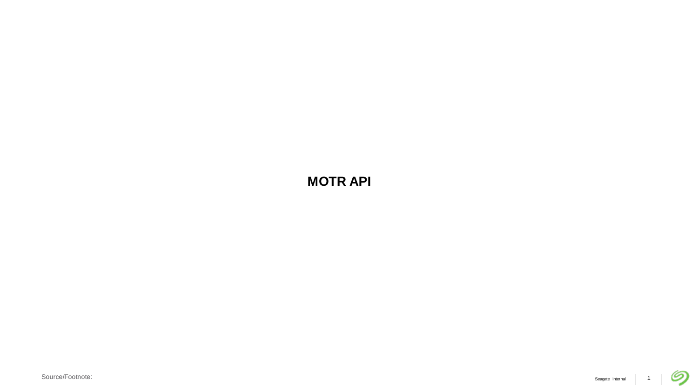**MOTR API**

の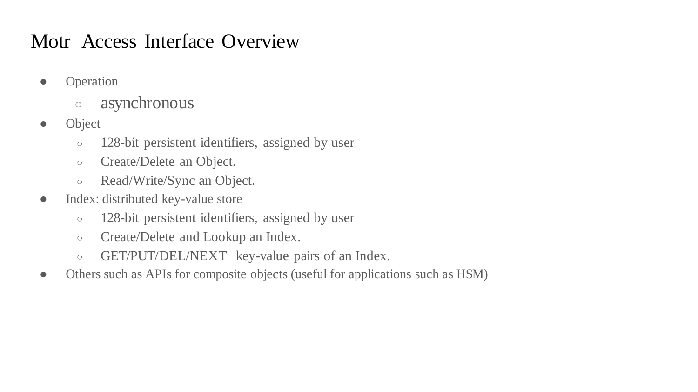### Motr Access Interface Overview

- Operation
	- asynchronous
- Object
	- 128-bit persistent identifiers, assigned by user
	- Create/Delete an Object.
	- Read/Write/Sync an Object.
- Index: distributed key-value store
	- 128-bit persistent identifiers, assigned by user
	- Create/Delete and Lookup an Index.
	- GET/PUT/DEL/NEXT key-value pairs of an Index.
- Others such as APIs for composite objects (useful for applications such as HSM)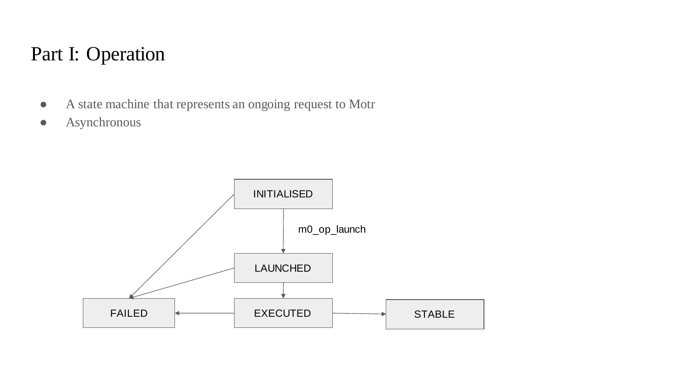# Part I: Operation

- A state machine that represents an ongoing request to Motr
- Asynchronous

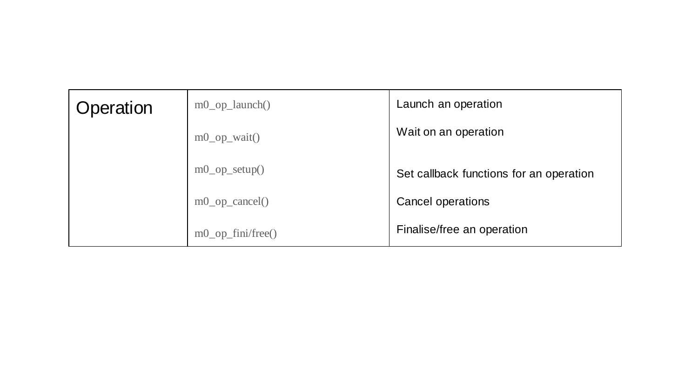| Operation | $m0$ _op_launch()     | Launch an operation                     |
|-----------|-----------------------|-----------------------------------------|
|           | $m0$ _op_wait()       | Wait on an operation                    |
|           | $m0$ _op_setup()      | Set callback functions for an operation |
|           | $m0$ _op_cancel()     | Cancel operations                       |
|           | $m0$ op $fini/free()$ | Finalise/free an operation              |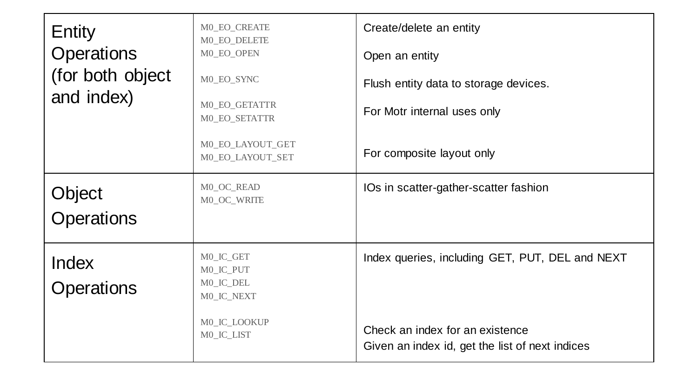| Entity<br><b>Operations</b><br>(for both object<br>and index) | M0_EO_CREATE<br>M0_EO_DELETE<br>M0_EO_OPEN<br>M0_EO_SYNC<br>M0_EO_GETATTR<br>M0_EO_SETATTR<br>M0_EO_LAYOUT_GET<br>M0_EO_LAYOUT_SET | Create/delete an entity<br>Open an entity<br>Flush entity data to storage devices.<br>For Motr internal uses only<br>For composite layout only |
|---------------------------------------------------------------|------------------------------------------------------------------------------------------------------------------------------------|------------------------------------------------------------------------------------------------------------------------------------------------|
| Object<br><b>Operations</b>                                   | M0_OC_READ<br>M0_OC_WRITE                                                                                                          | IOs in scatter-gather-scatter fashion                                                                                                          |
| <b>Index</b><br><b>Operations</b>                             | M0_IC_GET<br>M0_IC_PUT<br>M0_IC_DEL<br>MO_IC_NEXT<br>M0_IC_LOOKUP<br>M0_IC_LIST                                                    | Index queries, including GET, PUT, DEL and NEXT<br>Check an index for an existence<br>Given an index id, get the list of next indices          |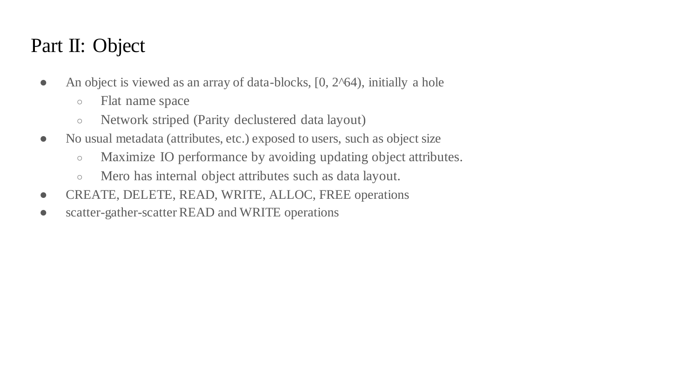# Part II: Object

- An object is viewed as an array of data-blocks, [0, 2^64), initially a hole
	- Flat name space
	- Network striped (Parity declustered data layout)
- No usual metadata (attributes, etc.) exposed to users, such as object size
	- Maximize IO performance by avoiding updating object attributes.
	- Mero has internal object attributes such as data layout.
- CREATE, DELETE, READ, WRITE, ALLOC, FREE operations
- scatter-gather-scatter READ and WRITE operations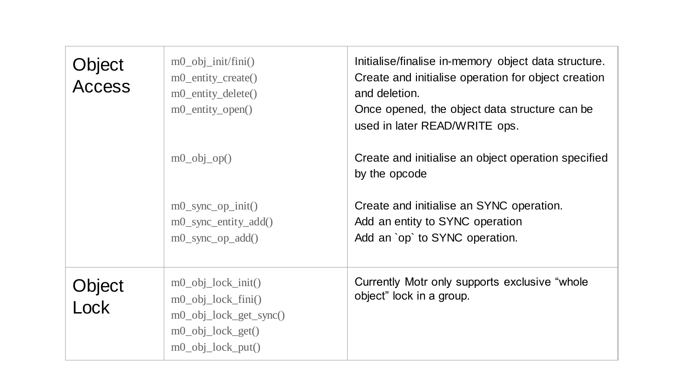| Object<br><b>Access</b> | $m0$ _obj_init/fini()<br>m0_entity_create()<br>m0_entity_delete()<br>m0_entity_open()                                          | Initialise/finalise in-memory object data structure.<br>Create and initialise operation for object creation<br>and deletion.<br>Once opened, the object data structure can be<br>used in later READ/WRITE ops. |
|-------------------------|--------------------------------------------------------------------------------------------------------------------------------|----------------------------------------------------------------------------------------------------------------------------------------------------------------------------------------------------------------|
|                         | $m0$ _obj_op()                                                                                                                 | Create and initialise an object operation specified<br>by the opcode                                                                                                                                           |
|                         | $m0$ _sync_op_init()<br>$m0$ _sync_entity_add()<br>$m0$ _sync_op_add()                                                         | Create and initialise an SYNC operation.<br>Add an entity to SYNC operation<br>Add an `op` to SYNC operation.                                                                                                  |
| Object<br>Cck           | $m0$ _obj_lock_init()<br>$m0$ _obj_lock_fini()<br>$m0$ _obj_lock_get_sync $()$<br>$m0$ _obj_lock_get()<br>$m0$ _obj_lock_put() | Currently Motr only supports exclusive "whole"<br>object" lock in a group.                                                                                                                                     |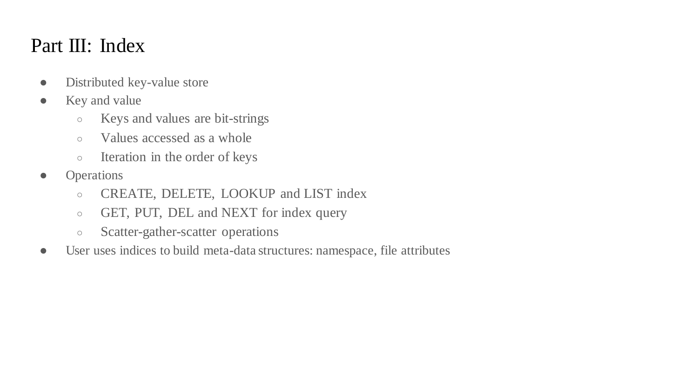#### Part III: Index

- Distributed key-value store
- Key and value
	- Keys and values are bit-strings
	- Values accessed as a whole
	- Iteration in the order of keys
- Operations
	- CREATE, DELETE, LOOKUP and LIST index
	- GET, PUT, DEL and NEXT for index query
	- Scatter-gather-scatter operations
- User uses indices to build meta-data structures: namespace, file attributes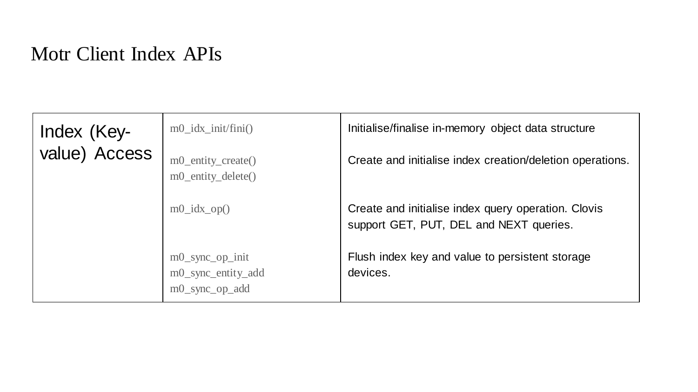# Motr Client Index APIs

| Index (Key-<br>value) Access | $m0$ idx init/fini()<br>m0_entity_create()<br>m0_entity_delete() | Initialise/finalise in-memory object data structure<br>Create and initialise index creation/deletion operations. |
|------------------------------|------------------------------------------------------------------|------------------------------------------------------------------------------------------------------------------|
|                              | $m0$ _idx_op()                                                   | Create and initialise index query operation. Clovis<br>support GET, PUT, DEL and NEXT queries.                   |
|                              | $m0$ _sync_op_init<br>m0_sync_entity_add<br>m0_sync_op_add       | Flush index key and value to persistent storage<br>devices.                                                      |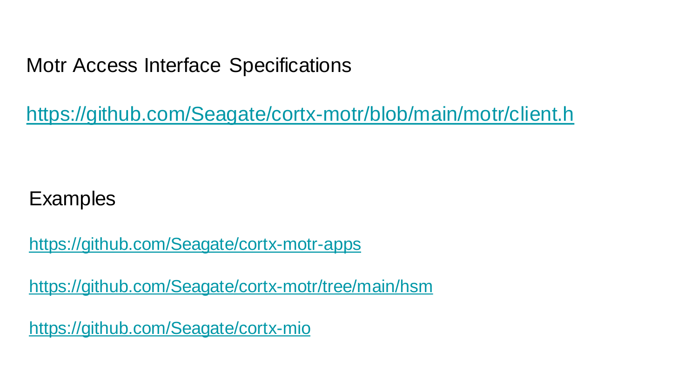# Motr Access Interface Specifications

<https://github.com/Seagate/cortx-motr/blob/main/motr/client.h>

# **Examples**

<https://github.com/Seagate/cortx-motr-apps>

<https://github.com/Seagate/cortx-motr/tree/main/hsm>

<https://github.com/Seagate/cortx-mio>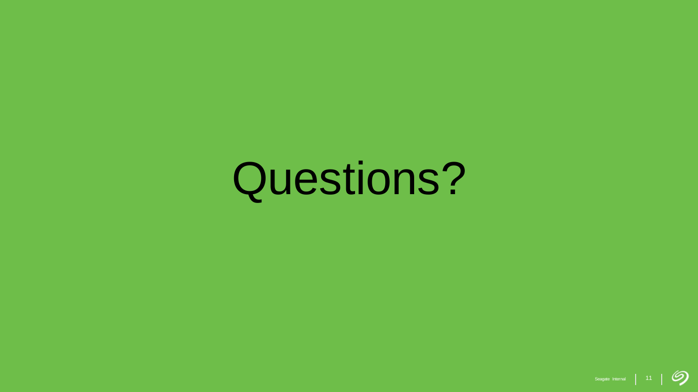# Questions?